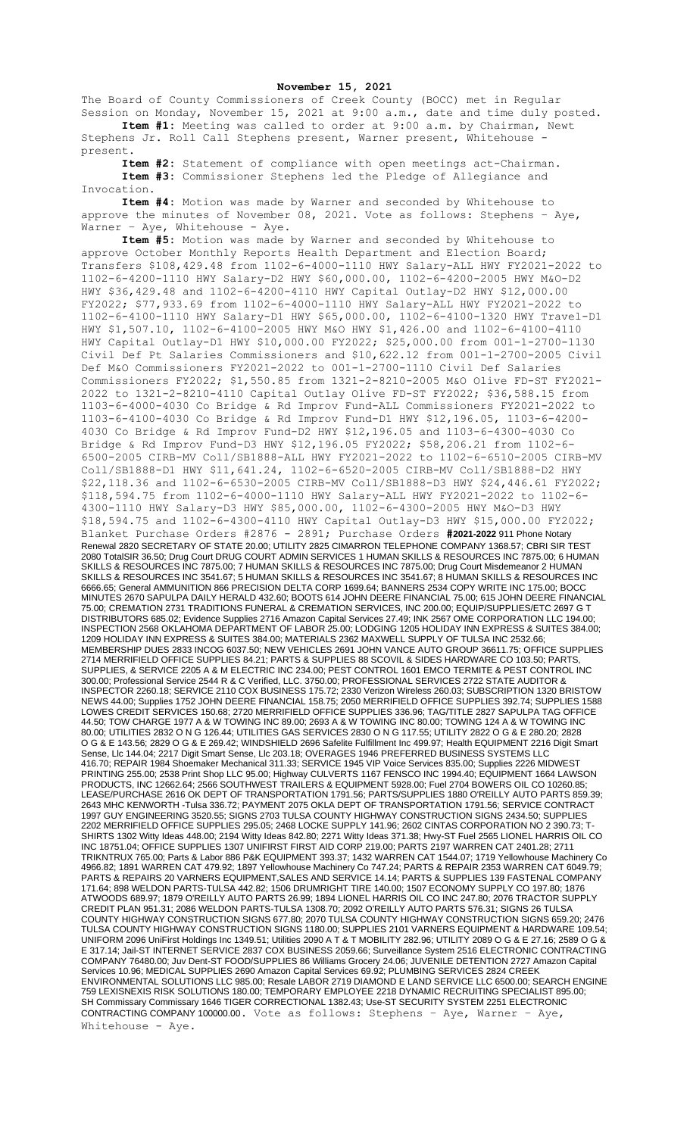## **November 15, 2021**

The Board of County Commissioners of Creek County (BOCC) met in Regular Session on Monday, November 15, 2021 at 9:00 a.m., date and time duly posted. **Item #1:** Meeting was called to order at 9:00 a.m. by Chairman, Newt

Stephens Jr. Roll Call Stephens present, Warner present, Whitehouse present.

**Item #2:** Statement of compliance with open meetings act-Chairman. **Item #3:** Commissioner Stephens led the Pledge of Allegiance and Invocation.

**Item #4:** Motion was made by Warner and seconded by Whitehouse to approve the minutes of November 08, 2021. Vote as follows: Stephens – Aye, Warner - Aye, Whitehouse - Aye.

**Item #5:** Motion was made by Warner and seconded by Whitehouse to approve October Monthly Reports Health Department and Election Board; Transfers \$108,429.48 from 1102-6-4000-1110 HWY Salary-ALL HWY FY2021-2022 to 1102-6-4200-1110 HWY Salary-D2 HWY \$60,000.00, 1102-6-4200-2005 HWY M&O-D2 HWY \$36,429.48 and 1102-6-4200-4110 HWY Capital Outlay-D2 HWY \$12,000.00 FY2022; \$77,933.69 from 1102-6-4000-1110 HWY Salary-ALL HWY FY2021-2022 to 1102-6-4100-1110 HWY Salary-D1 HWY \$65,000.00, 1102-6-4100-1320 HWY Travel-D1 HWY \$1,507.10, 1102-6-4100-2005 HWY M&O HWY \$1,426.00 and 1102-6-4100-4110 HWY Capital Outlay-D1 HWY \$10,000.00 FY2022; \$25,000.00 from 001-1-2700-1130 Civil Def Pt Salaries Commissioners and \$10,622.12 from 001-1-2700-2005 Civil Def M&O Commissioners FY2021-2022 to 001-1-2700-1110 Civil Def Salaries Commissioners FY2022; \$1,550.85 from 1321-2-8210-2005 M&O Olive FD-ST FY2021- 2022 to 1321-2-8210-4110 Capital Outlay Olive FD-ST FY2022; \$36,588.15 from 1103-6-4000-4030 Co Bridge & Rd Improv Fund-ALL Commissioners FY2021-2022 to 1103-6-4100-4030 Co Bridge & Rd Improv Fund-D1 HWY \$12,196.05, 1103-6-4200- 4030 Co Bridge & Rd Improv Fund-D2 HWY \$12,196.05 and 1103-6-4300-4030 Co Bridge & Rd Improv Fund-D3 HWY \$12,196.05 FY2022; \$58,206.21 from 1102-6- 6500-2005 CIRB-MV Coll/SB1888-ALL HWY FY2021-2022 to 1102-6-6510-2005 CIRB-MV Coll/SB1888-D1 HWY \$11,641.24, 1102-6-6520-2005 CIRB-MV Coll/SB1888-D2 HWY \$22,118.36 and 1102-6-6530-2005 CIRB-MV Coll/SB1888-D3 HWY \$24,446.61 FY2022; \$118,594.75 from 1102-6-4000-1110 HWY Salary-ALL HWY FY2021-2022 to 1102-6- 4300-1110 HWY Salary-D3 HWY \$85,000.00, 1102-6-4300-2005 HWY M&O-D3 HWY \$18,594.75 and 1102-6-4300-4110 HWY Capital Outlay-D3 HWY \$15,000.00 FY2022; Blanket Purchase Orders #2876 - 2891; Purchase Orders **#2021-2022** 911 Phone Notary Renewal 2820 SECRETARY OF STATE 20.00; UTILITY 2825 CIMARRON TELEPHONE COMPANY 1368.57; CBRI SIR TEST 2080 TotalSIR 36.50; Drug Court DRUG COURT ADMIN SERVICES 1 HUMAN SKILLS & RESOURCES INC 7875.00; 6 HUMAN SKILLS & RESOURCES INC 7875.00; 7 HUMAN SKILLS & RESOURCES INC 7875.00; Drug Court Misdemeanor 2 HUMAN SKILLS & RESOURCES INC 3541.67; 5 HUMAN SKILLS & RESOURCES INC 3541.67; 8 HUMAN SKILLS & RESOURCES INC 6666.65; General AMMUNITION 866 PRECISION DELTA CORP 1699.64; BANNERS 2534 COPY WRITE INC 175.00; BOCC MINUTES 2670 SAPULPA DAILY HERALD 432.60; BOOTS 614 JOHN DEERE FINANCIAL 75.00; 615 JOHN DEERE FINANCIAL 75.00; CREMATION 2731 TRADITIONS FUNERAL & CREMATION SERVICES, INC 200.00; EQUIP/SUPPLIES/ETC 2697 G T DISTRIBUTORS 685.02; Evidence Supplies 2716 Amazon Capital Services 27.49; INK 2567 OME CORPORATION LLC 194.00; INSPECTION 2568 OKLAHOMA DEPARTMENT OF LABOR 25.00; LODGING 1205 HOLIDAY INN EXPRESS & SUITES 384.00; 1209 HOLIDAY INN EXPRESS & SUITES 384.00; MATERIALS 2362 MAXWELL SUPPLY OF TULSA INC 2532.66; MEMBERSHIP DUES 2833 INCOG 6037.50; NEW VEHICLES 2691 JOHN VANCE AUTO GROUP 36611.75; OFFICE SUPPLIES 2714 MERRIFIELD OFFICE SUPPLIES 84.21; PARTS & SUPPLIES 88 SCOVIL & SIDES HARDWARE CO 103.50; PARTS, SUPPLIES, & SERVICE 2205 A & M ELECTRIC INC 234.00; PEST CONTROL 1601 EMCO TERMITE & PEST CONTROL INC 300.00; Professional Service 2544 R & C Verified, LLC. 3750.00; PROFESSIONAL SERVICES 2722 STATE AUDITOR & INSPECTOR 2260.18; SERVICE 2110 COX BUSINESS 175.72; 2330 Verizon Wireless 260.03; SUBSCRIPTION 1320 BRISTOW NEWS 44.00; Supplies 1752 JOHN DEERE FINANCIAL 158.75; 2050 MERRIFIELD OFFICE SUPPLIES 392.74; SUPPLIES 1588 LOWES CREDIT SERVICES 150.68; 2720 MERRIFIELD OFFICE SUPPLIES 336.96; TAG/TITLE 2827 SAPULPA TAG OFFICE 44.50; TOW CHARGE 1977 A & W TOWING INC 89.00; 2693 A & W TOWING INC 80.00; TOWING 124 A & W TOWING INC 80.00; UTILITIES 2832 O N G 126.44; UTILITIES GAS SERVICES 2830 O N G 117.55; UTILITY 2822 O G & E 280.20; 2828 O G & E 143.56; 2829 O G & E 269.42; WINDSHIELD 2696 Safelite Fulfillment Inc 499.97; Health EQUIPMENT 2216 Digit Smart Sense, Llc 144.04; 2217 Digit Smart Sense, Llc 203.18; OVERAGES 1946 PREFERRED BUSINESS SYSTEMS LLC 416.70; REPAIR 1984 Shoemaker Mechanical 311.33; SERVICE 1945 VIP Voice Services 835.00; Supplies 2226 MIDWEST PRINTING 255.00; 2538 Print Shop LLC 95.00; Highway CULVERTS 1167 FENSCO INC 1994.40; EQUIPMENT 1664 LAWSON PRODUCTS, INC 12662.64; 2566 SOUTHWEST TRAILERS & EQUIPMENT 5928.00; Fuel 2704 BOWERS OIL CO 10260.85; LEASE/PURCHASE 2616 OK DEPT OF TRANSPORTATION 1791.56; PARTS/SUPPLIES 1880 O'REILLY AUTO PARTS 859.39; 2643 MHC KENWORTH -Tulsa 336.72; PAYMENT 2075 OKLA DEPT OF TRANSPORTATION 1791.56; SERVICE CONTRACT 1997 GUY ENGINEERING 3520.55; SIGNS 2703 TULSA COUNTY HIGHWAY CONSTRUCTION SIGNS 2434.50; SUPPLIES 2202 MERRIFIELD OFFICE SUPPLIES 295.05; 2468 LOCKE SUPPLY 141.96; 2602 CINTAS CORPORATION NO 2 390.73; T-SHIRTS 1302 Witty Ideas 448.00; 2194 Witty Ideas 842.80; 2271 Witty Ideas 371.38; Hwy-ST Fuel 2565 LIONEL HARRIS OIL CO INC 18751.04; OFFICE SUPPLIES 1307 UNIFIRST FIRST AID CORP 219.00; PARTS 2197 WARREN CAT 2401.28; 2711 TRIKNTRUX 765.00; Parts & Labor 886 P&K EQUIPMENT 393.37; 1432 WARREN CAT 1544.07; 1719 Yellowhouse Machinery Co 4966.82; 1891 WARREN CAT 479.92; 1897 Yellowhouse Machinery Co 747.24; PARTS & REPAIR 2353 WARREN CAT 6049.79; PARTS & REPAIRS 20 VARNERS EQUIPMENT,SALES AND SERVICE 14.14; PARTS & SUPPLIES 139 FASTENAL COMPANY 171.64; 898 WELDON PARTS-TULSA 442.82; 1506 DRUMRIGHT TIRE 140.00; 1507 ECONOMY SUPPLY CO 197.80; 1876 ATWOODS 689.97; 1879 O'REILLY AUTO PARTS 26.99; 1894 LIONEL HARRIS OIL CO INC 247.80; 2076 TRACTOR SUPPLY CREDIT PLAN 951.31; 2086 WELDON PARTS-TULSA 1308.70; 2092 O'REILLY AUTO PARTS 576.31; SIGNS 26 TULSA COUNTY HIGHWAY CONSTRUCTION SIGNS 677.80; 2070 TULSA COUNTY HIGHWAY CONSTRUCTION SIGNS 659.20; 2476 TULSA COUNTY HIGHWAY CONSTRUCTION SIGNS 1180.00; SUPPLIES 2101 VARNERS EQUIPMENT & HARDWARE 109.54; UNIFORM 2096 UniFirst Holdings Inc 1349.51; Utilities 2090 A T & T MOBILITY 282.96; UTILITY 2089 O G & E 27.16; 2589 O G & E 317.14; Jail-ST INTERNET SERVICE 2837 COX BUSINESS 2059.66; Surveillance System 2516 ELECTRONIC CONTRACTING COMPANY 76480.00; Juv Dent-ST FOOD/SUPPLIES 86 Williams Grocery 24.06; JUVENILE DETENTION 2727 Amazon Capital Services 10.96; MEDICAL SUPPLIES 2690 Amazon Capital Services 69.92; PLUMBING SERVICES 2824 CREEK ENVIRONMENTAL SOLUTIONS LLC 985.00; Resale LABOR 2719 DIAMOND E LAND SERVICE LLC 6500.00; SEARCH ENGINE 759 LEXISNEXIS RISK SOLUTIONS 180.00; TEMPORARY EMPLOYEE 2218 DYNAMIC RECRUITING SPECIALIST 895.00; SH Commissary Commissary 1646 TIGER CORRECTIONAL 1382.43; Use-ST SECURITY SYSTEM 2251 ELECTRONIC CONTRACTING COMPANY 100000.00. Vote as follows: Stephens – Aye, Warner – Aye, Whitehouse - Aye.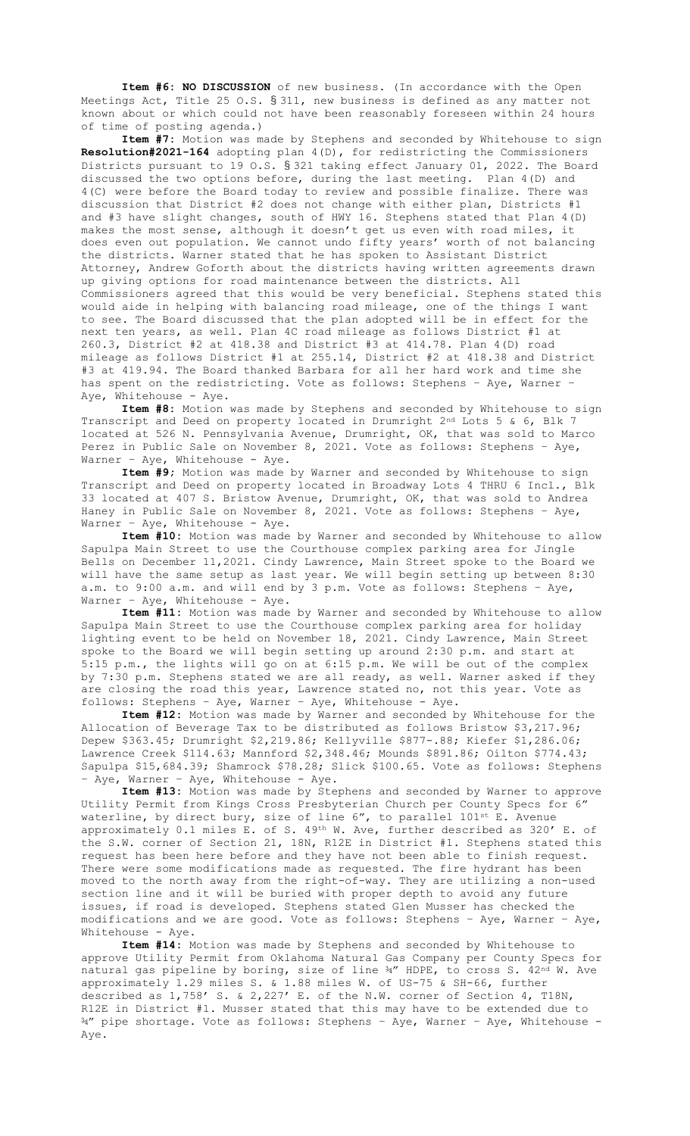**Item #6: NO DISCUSSION** of new business. (In accordance with the Open Meetings Act, Title 25 O.S. § 311, new business is defined as any matter not known about or which could not have been reasonably foreseen within 24 hours of time of posting agenda.)

**Item #7:** Motion was made by Stephens and seconded by Whitehouse to sign **Resolution#2021-164** adopting plan 4(D), for redistricting the Commissioners Districts pursuant to 19 O.S. § 321 taking effect January 01, 2022. The Board discussed the two options before, during the last meeting. Plan 4(D) and 4(C) were before the Board today to review and possible finalize. There was discussion that District #2 does not change with either plan, Districts #1 and #3 have slight changes, south of HWY 16. Stephens stated that Plan 4(D) makes the most sense, although it doesn't get us even with road miles, it does even out population. We cannot undo fifty years' worth of not balancing the districts. Warner stated that he has spoken to Assistant District Attorney, Andrew Goforth about the districts having written agreements drawn up giving options for road maintenance between the districts. All Commissioners agreed that this would be very beneficial. Stephens stated this would aide in helping with balancing road mileage, one of the things I want to see. The Board discussed that the plan adopted will be in effect for the next ten years, as well. Plan 4C road mileage as follows District #1 at 260.3, District #2 at 418.38 and District #3 at 414.78. Plan 4(D) road mileage as follows District #1 at 255.14, District #2 at 418.38 and District #3 at 419.94. The Board thanked Barbara for all her hard work and time she has spent on the redistricting. Vote as follows: Stephens – Aye, Warner – Aye, Whitehouse - Aye.

**Item #8:** Motion was made by Stephens and seconded by Whitehouse to sign Transcript and Deed on property located in Drumright 2nd Lots 5 & 6, Blk 7 located at 526 N. Pennsylvania Avenue, Drumright, OK, that was sold to Marco Perez in Public Sale on November 8, 2021. Vote as follows: Stephens – Aye, Warner - Aye, Whitehouse - Aye.

**Item #9;** Motion was made by Warner and seconded by Whitehouse to sign Transcript and Deed on property located in Broadway Lots 4 THRU 6 Incl., Blk 33 located at 407 S. Bristow Avenue, Drumright, OK, that was sold to Andrea Haney in Public Sale on November 8, 2021. Vote as follows: Stephens – Aye, Warner - Aye, Whitehouse - Aye.

**Item #10:** Motion was made by Warner and seconded by Whitehouse to allow Sapulpa Main Street to use the Courthouse complex parking area for Jingle Bells on December 11,2021. Cindy Lawrence, Main Street spoke to the Board we will have the same setup as last year. We will begin setting up between 8:30 a.m. to 9:00 a.m. and will end by 3 p.m. Vote as follows: Stephens – Aye, Warner - Aye, Whitehouse - Aye.

**Item #11:** Motion was made by Warner and seconded by Whitehouse to allow Sapulpa Main Street to use the Courthouse complex parking area for holiday lighting event to be held on November 18, 2021. Cindy Lawrence, Main Street spoke to the Board we will begin setting up around 2:30 p.m. and start at 5:15 p.m., the lights will go on at 6:15 p.m. We will be out of the complex by 7:30 p.m. Stephens stated we are all ready, as well. Warner asked if they are closing the road this year, Lawrence stated no, not this year. Vote as follows: Stephens – Aye, Warner – Aye, Whitehouse - Aye.

**Item #12:** Motion was made by Warner and seconded by Whitehouse for the Allocation of Beverage Tax to be distributed as follows Bristow \$3,217.96; Depew \$363.45; Drumright \$2,219.86; Kellyville \$877-.88; Kiefer \$1,286.06; Lawrence Creek \$114.63; Mannford \$2,348.46; Mounds \$891.86; Oilton \$774.43; Sapulpa \$15,684.39; Shamrock \$78.28; Slick \$100.65. Vote as follows: Stephens – Aye, Warner – Aye, Whitehouse - Aye.

**Item #13:** Motion was made by Stephens and seconded by Warner to approve Utility Permit from Kings Cross Presbyterian Church per County Specs for 6" waterline, by direct bury, size of line 6", to parallel 101st E. Avenue approximately 0.1 miles E. of S. 49th W. Ave, further described as 320' E. of the S.W. corner of Section 21, 18N, R12E in District #1. Stephens stated this request has been here before and they have not been able to finish request. There were some modifications made as requested. The fire hydrant has been moved to the north away from the right-of-way. They are utilizing a non-used section line and it will be buried with proper depth to avoid any future issues, if road is developed. Stephens stated Glen Musser has checked the modifications and we are good. Vote as follows: Stephens – Aye, Warner – Aye, Whitehouse - Aye.

**Item #14:** Motion was made by Stephens and seconded by Whitehouse to approve Utility Permit from Oklahoma Natural Gas Company per County Specs for natural gas pipeline by boring, size of line 34" HDPE, to cross S. 42nd W. Ave approximately 1.29 miles S. & 1.88 miles W. of US-75 & SH-66, further described as 1,758' S. & 2,227' E. of the N.W. corner of Section 4, T18N, R12E in District #1. Musser stated that this may have to be extended due to ¾" pipe shortage. Vote as follows: Stephens – Aye, Warner – Aye, Whitehouse - Aye.